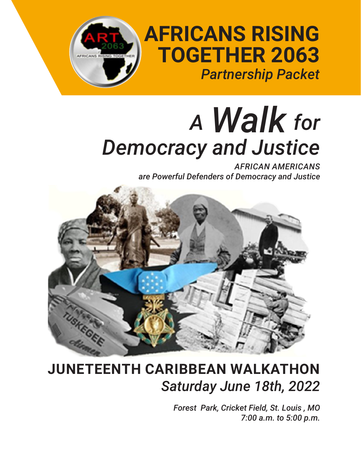

# **AFRICANS RISING TOGETHER 2063** *Partnership Packet*

# *<sup>A</sup> Walk for Democracy and Justice*

*AFRICAN AMERICANS are Powerful Defenders of Democracy and Justice*



# **JUNETEENTH CARIBBEAN WALKATHON** *Saturday June 18th, 2022*

*Forest Park, Cricket Field, St. Louis , MO 7:00 a.m. to 5:00 p.m.*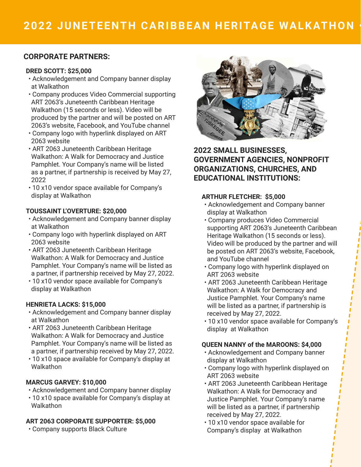# **CORPORATE PARTNERS:**

#### **DRED SCOTT: \$25,000**

- Acknowledgement and Company banner display at Walkathon
- Company produces Video Commercial supporting ART 2063's Juneteenth Caribbean Heritage Walkathon (15 seconds or less). Video will be produced by the partner and will be posted on ART 2063's website, Facebook, and YouTube channel
- Company logo with hyperlink displayed on ART 2063 website
- ART 2063 Juneteenth Caribbean Heritage Walkathon: A Walk for Democracy and Justice Pamphlet. Your Company's name will be listed as a partner, if partnership is received by May 27, 2022
- 10 x10 vendor space available for Company's display at Walkathon

## **TOUSSAINT L'OVERTURE: \$20,000**

- Acknowledgement and Company banner display at Walkathon
- Company logo with hyperlink displayed on ART 2063 website
- ART 2063 Juneteenth Caribbean Heritage Walkathon: A Walk for Democracy and Justice Pamphlet. Your Company's name will be listed as a partner, if partnership received by May 27, 2022.
- 10 x10 vendor space available for Company's display at Walkathon

# **HENRIETA LACKS: \$15,000**

- Acknowledgement and Company banner display at Walkathon
- ART 2063 Juneteenth Caribbean Heritage Walkathon: A Walk for Democracy and Justice Pamphlet. Your Company's name will be listed as a partner, if partnership received by May 27, 2022.
- 10 x10 space available for Company's display at Walkathon

# **MARCUS GARVEY: \$10,000**

- Acknowledgement and Company banner display
- 10 x10 space available for Company's display at **Walkathon**

# **ART 2063 CORPORATE SUPPORTER: \$5,000**

• Company supports Black Culture



# **2022 SMALL BUSINESSES, GOVERNMENT AGENCIES, NONPROFIT ORGANIZATIONS, CHURCHES, AND EDUCATIONAL INSTITUTIONS:**

# **ARTHUR FLETCHER: \$5,000**

- Acknowledgement and Company banner display at Walkathon
- Company produces Video Commercial supporting ART 2063's Juneteenth Caribbean Heritage Walkathon (15 seconds or less). Video will be produced by the partner and will be posted on ART 2063's website, Facebook, and YouTube channel

Ï

- Company logo with hyperlink displayed on ART 2063 website
- ART 2063 Juneteenth Caribbean Heritage Walkathon: A Walk for Democracy and Justice Pamphlet. Your Company's name will be listed as a partner, if partnership is received by May 27, 2022.
- 10 x10 vendor space available for Company's display at Walkathon

# **QUEEN NANNY of the MAROONS: \$4,000**

- Acknowledgement and Company banner display at Walkathon
- Company logo with hyperlink displayed on ART 2063 website
- ART 2063 Juneteenth Caribbean Heritage Walkathon: A Walk for Democracy and Justice Pamphlet. Your Company's name will be listed as a partner, if partnership received by May 27, 2022.
- 10 x10 vendor space available for Company's display at Walkathon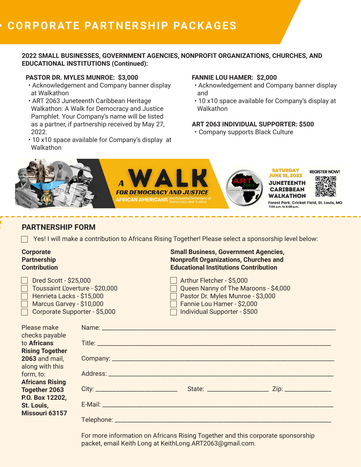#### **2022 SMALL BUSINESSES, GOVERNMENT AGENCIES, NONPROFIT ORGANIZATIONS, CHURCHES, AND EDUCATIONAL INSTITUTIONS (Continued):**

#### **PASTOR DR. MYLES MUNROE: \$3,000**

- Acknowledgement and Company banner display at Walkathon
- ART 2063 Juneteenth Caribbean Heritage Walkathon: A Walk for Democracy and Justice Pamphlet. Your Company's name will be listed as a partner, if partnership received by May 27, 2022.
- 10 x10 space available for Company's display at **Walkathon**

#### **FANNIE LOU HAMER: \$2,000**

- Acknowledgement and Company banner display and
- 10 x10 space available for Company's display at Walkathon

#### **ART 2063 INDIVIDUAL SUPPORTER: \$500**

• Company supports Black Culture



#### **PARTNERSHIP FORM**

Yes! I will make a contribution to Africans Rising Together! Please select a sponsorship level below:

#### **Corporate Partnership Contribution**

| Dred Scott - \$25,000           |
|---------------------------------|
| Toussaint L'overture - \$20,000 |
| Henrieta Lacks - \$15,000       |
| Marcus Garvey - \$10,000        |
| Corporate Supporter - \$5,000   |

#### **Small Business, Government Agencies, Nonprofit Organizations, Churches and Educational Institutions Contribution**

 $\Box$  Arthur Fletcher - \$5,000 Queen Nanny of The Maroons - \$4,000 Pastor Dr. Myles Munroe - \$3,000 Fannie Lou Hamer - \$2,000 Individual Supporter - \$500

| Please make<br>checks payable            |  |  |
|------------------------------------------|--|--|
| to Africans                              |  |  |
| <b>Rising Together</b>                   |  |  |
| <b>2063</b> and mail,<br>along with this |  |  |
| form, to:                                |  |  |
| <b>Africans Rising</b>                   |  |  |
| <b>Together 2063</b>                     |  |  |
| P.O. Box 12202,                          |  |  |
| St. Louis,                               |  |  |
| Missouri 63157                           |  |  |
|                                          |  |  |

For more information on Africans Rising Together and this corporate sponsorship packet, email Keith Long at KeithLong.ART2063@gmail.com.